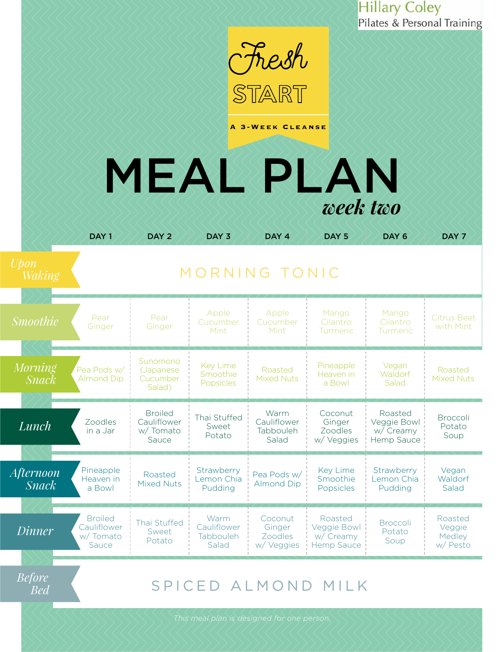

**A 3-Week Cleanse**

# MEAL PLAN *week two*

|                                  | DAY <sub>1</sub>                                   | DAY <sub>2</sub>                                   | DAY <sub>3</sub>                          | DAY <sub>4</sub>                           | DAY <sub>5</sub>                                         | DAY <sub>6</sub>                                  | DAY <sub>7</sub>                        |
|----------------------------------|----------------------------------------------------|----------------------------------------------------|-------------------------------------------|--------------------------------------------|----------------------------------------------------------|---------------------------------------------------|-----------------------------------------|
| <b>Upon</b><br><i>Waking</i>     | MORNING TONIC                                      |                                                    |                                           |                                            |                                                          |                                                   |                                         |
| <b>Smoothie</b>                  | Pear<br>Ginger                                     | Pear<br>Ginger                                     | Apple<br>Cucumber<br>Mint                 | Apple<br>Cucumber<br>Mint                  | Mango<br>Cilantro<br>Turmeric                            | Mango<br>Cilantro<br>Turmeric                     | <b>Citrus Beet</b><br>with Mint         |
| <b>Morning</b><br><i>Snack</i>   | Pea Pods w/<br><b>Almond Dip</b>                   | Sunomono<br>(Japanese<br>Cucumber<br>Salad)        | <b>Key Lime</b><br>Smoothie<br>Popsicles  | Roasted<br><b>Mixed Nuts</b>               | Pineapple<br>Heaven in<br>a Bowl                         | Vegan<br>Waldorf<br>Salad                         | Roasted<br><b>Mixed Nuts</b>            |
| Lunch                            | Zoodles<br>in a Jar                                | <b>Broiled</b><br>Cauliflower<br>w/Tomato<br>Sauce | Thai Stuffed<br>Sweet<br>Potato           | Warm<br>Cauliflower<br>Tabbouleh<br>Salad  | Coconut<br>Ginger<br>Zoodles<br>w/ Veggies               | Roasted<br>Veggie Bowl<br>w/ Creamy<br>Hemp Sauce | <b>Broccoli</b><br>Potato<br>Soup       |
| <b>Afternoon</b><br><b>Snack</b> | Pineapple<br>Heaven in<br>a Bowl                   | Roasted<br><b>Mixed Nuts</b>                       | Strawberry<br>Lemon Chia<br>Pudding       | Pea Pods w/<br><b>Almond Dip</b>           | <b>Key Lime</b><br>Smoothie<br>Popsicles                 | Strawberry<br>Lemon Chia<br>Pudding               | Vegan<br>Waldorf<br>Salad               |
| <i>Dinner</i>                    | <b>Broiled</b><br>Cauliflower<br>w/Tomato<br>Sauce | Thai Stuffed<br>Sweet<br>Potato                    | Warm<br>Cauliflower<br>Tabbouleh<br>Salad | Coconut<br>Ginger<br>Zoodles<br>w/ Veggies | Roasted<br>Veggie Bowl<br>w/ Creamy<br><b>Hemp Sauce</b> | <b>Broccoli</b><br>Potato<br>Soup                 | Roasted<br>Veggie<br>Medley<br>w/ Pesto |
|                                  |                                                    |                                                    |                                           |                                            |                                                          |                                                   |                                         |

[SPICED ALMOND MILK](#page--1-0)

*Before Bed*